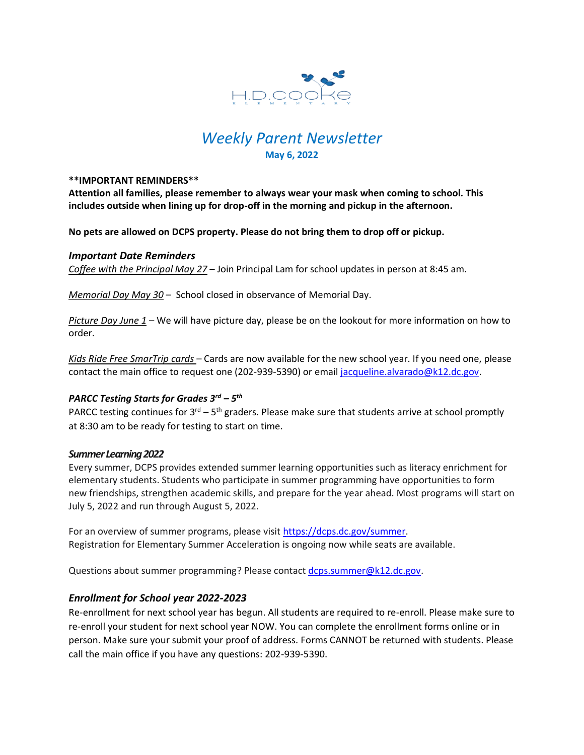

# *Weekly Parent Newsletter* **May 6, 2022**

#### **\*\*IMPORTANT REMINDERS\*\***

**Attention all families, please remember to always wear your mask when coming to school. This includes outside when lining up for drop-off in the morning and pickup in the afternoon.** 

**No pets are allowed on DCPS property. Please do not bring them to drop off or pickup.** 

### *Important Date Reminders*

*Coffee with the Principal May 27* – Join Principal Lam for school updates in person at 8:45 am.

*Memorial Day May 30* – School closed in observance of Memorial Day.

*Picture Day June 1* – We will have picture day, please be on the lookout for more information on how to order.

*Kids Ride Free SmarTrip cards* – Cards are now available for the new school year. If you need one, please contact the main office to request one (202-939-5390) or email [jacqueline.alvarado@k12.dc.gov.](mailto:jacqueline.alvarado@k12.dc.gov)

# *PARCC Testing Starts for Grades 3rd – 5 th*

PARCC testing continues for  $3^{\text{rd}} - 5^{\text{th}}$  graders. Please make sure that students arrive at school promptly at 8:30 am to be ready for testing to start on time.

### *Summer Learning 2022*

Every summer, DCPS provides extended summer learning opportunities such as literacy enrichment for elementary students. Students who participate in summer programming have opportunities to form new friendships, strengthen academic skills, and prepare for the year ahead. Most programs will start on July 5, 2022 and run through August 5, 2022.

For an overview of summer programs, please visit [https://dcps.dc.gov/summer.](https://dcps.dc.gov/summer) Registration for Elementary Summer Acceleration is ongoing now while seats are available.

Questions about summer programming? Please contact [dcps.summer@k12.dc.gov.](mailto:dcps.summer@k12.dc.gov)

## *Enrollment for School year 2022-2023*

Re-enrollment for next school year has begun. All students are required to re-enroll. Please make sure to re-enroll your student for next school year NOW. You can complete the enrollment forms online or in person. Make sure your submit your proof of address. Forms CANNOT be returned with students. Please call the main office if you have any questions: 202-939-5390.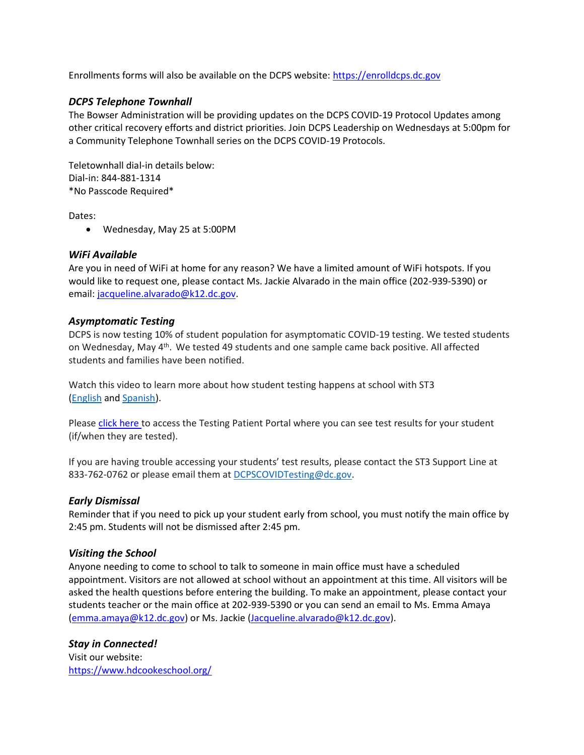Enrollments forms will also be available on the DCPS website: [https://enrolldcps.dc.gov](https://enrolldcps.dc.gov/)

## *DCPS Telephone Townhall*

The Bowser Administration will be providing updates on the DCPS COVID-19 Protocol Updates among other critical recovery efforts and district priorities. Join DCPS Leadership on Wednesdays at 5:00pm for a Community Telephone Townhall series on the DCPS COVID-19 Protocols.

Teletownhall dial-in details below: Dial-in: 844-881-1314 \*No Passcode Required\*

Dates:

• Wednesday, May 25 at 5:00PM

## *WiFi Available*

Are you in need of WiFi at home for any reason? We have a limited amount of WiFi hotspots. If you would like to request one, please contact Ms. Jackie Alvarado in the main office (202-939-5390) or email: [jacqueline.alvarado@k12.dc.gov.](mailto:jacqueline.alvarado@k12.dc.gov)

## *Asymptomatic Testing*

DCPS is now testing 10% of student population for asymptomatic COVID-19 testing. We tested students on Wednesday, May 4<sup>th</sup>. We tested 49 students and one sample came back positive. All affected students and families have been notified.

Watch this video to learn more about how student testing happens at school with ST3 [\(English](https://urldefense.proofpoint.com/v2/url?u=https-3A__rise.articulate.com_share_-2Dq6MdIeo2V42boWuOGTu8i4-2DcT9E-5Fpjy-23_lessons_QicMYr-5FNcrCg54C5EtRyuC-2DwHJjQQVR2&d=DwMFAg&c=euGZstcaTDllvimEN8b7jXrwqOf-v5A_CdpgnVfiiMM&r=r7MsakikdNxOh-N_Ssj9mdJUMRjWvhYw18Eqx42UE40&m=-vbhK74dxdF3UGFM3KXX_Mk-PGWZWrPZHiFLh_rcYM0&s=470EC6i3UbApDRfaxDIuMzBPFqhzK2pNSc-krTjYzOw&e=) and [Spanish\)](https://urldefense.proofpoint.com/v2/url?u=https-3A__youtu.be_PRaXjkFlGGQ&d=DwMFAg&c=euGZstcaTDllvimEN8b7jXrwqOf-v5A_CdpgnVfiiMM&r=r7MsakikdNxOh-N_Ssj9mdJUMRjWvhYw18Eqx42UE40&m=-vbhK74dxdF3UGFM3KXX_Mk-PGWZWrPZHiFLh_rcYM0&s=yCXksETv2O2ZulcBl9cazNcOvmB9Inp-drZAlbuFkaw&e=).

Please click [here](https://shieldt3k12portal.pointnclick.com/login_login.aspx) to access the Testing Patient Portal where you can see test results for your student (if/when they are tested).

If you are having trouble accessing your students' test results, please contact the ST3 Support Line at 833-762-0762 or please email them at [DCPSCOVIDTesting@dc.gov.](mailto:DCPSCOVIDTesting@dc.gov)

### *Early Dismissal*

Reminder that if you need to pick up your student early from school, you must notify the main office by 2:45 pm. Students will not be dismissed after 2:45 pm.

### *Visiting the School*

Anyone needing to come to school to talk to someone in main office must have a scheduled appointment. Visitors are not allowed at school without an appointment at this time. All visitors will be asked the health questions before entering the building. To make an appointment, please contact your students teacher or the main office at 202-939-5390 or you can send an email to Ms. Emma Amaya [\(emma.amaya@k12.dc.gov\)](mailto:emma.amaya@k12.dc.gov) or Ms. Jackie [\(Jacqueline.alvarado@k12.dc.gov\)](mailto:Jacqueline.alvarado@k12.dc.gov).

## *Stay in Connected!*

Visit our website: <https://www.hdcookeschool.org/>